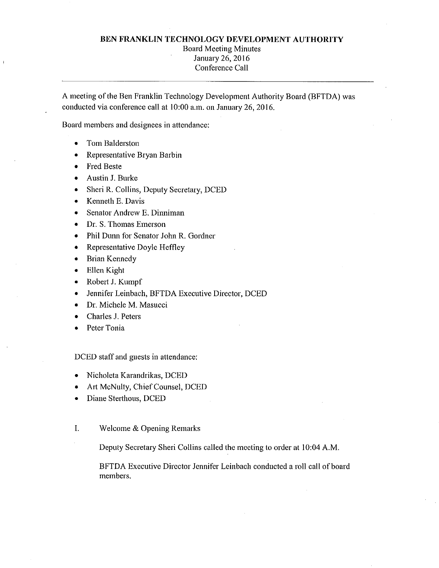## **BEN FRANKLIN TECHNOLOGY DEVELOPMENT AUTHORITY**

## Board Meeting Minutes January 26, 2016 Conference Call

A meeting of the Ben Franklin Technology Development Authority Board (BFTDA) was conducted via conference call at 10:00 a.m. on January 26, 2016.

Board members and designees in attendance:

- Tom Balderston
- Representative Bryan Barbin
- Fred Beste
- Austin J. Burke
- Sheri R. Collins, Deputy Secretary, DCED
- Kenneth E. Davis
- Senator Andrew E. Dinniman
- Dr. S. Thomas Emerson
- Phil Dunn for Senator John R. Gordner
- Representative Doyle Heffley
- Brian Kennedy
- Ellen Kight
- Robert J. Kumpf
- Jennifer Leinbach, BFTDA Executive Director, DCED
- Dr. Michele M. Masucci
- Charles J. Peters
- Peter Tonia

DCED staff and guests in attendance:

- Nicholeta Karandrikas, DCED
- Art McNulty, Chief Counsel, DCED
- Diane Sterthous, DCED
- I. Welcome & Opening Remarks

Deputy Secretary Sheri Collins called the meeting to order at 10:04 A.M.

BFTDA Executive Director Jennifer Leinbach conducted a roll call of board members.